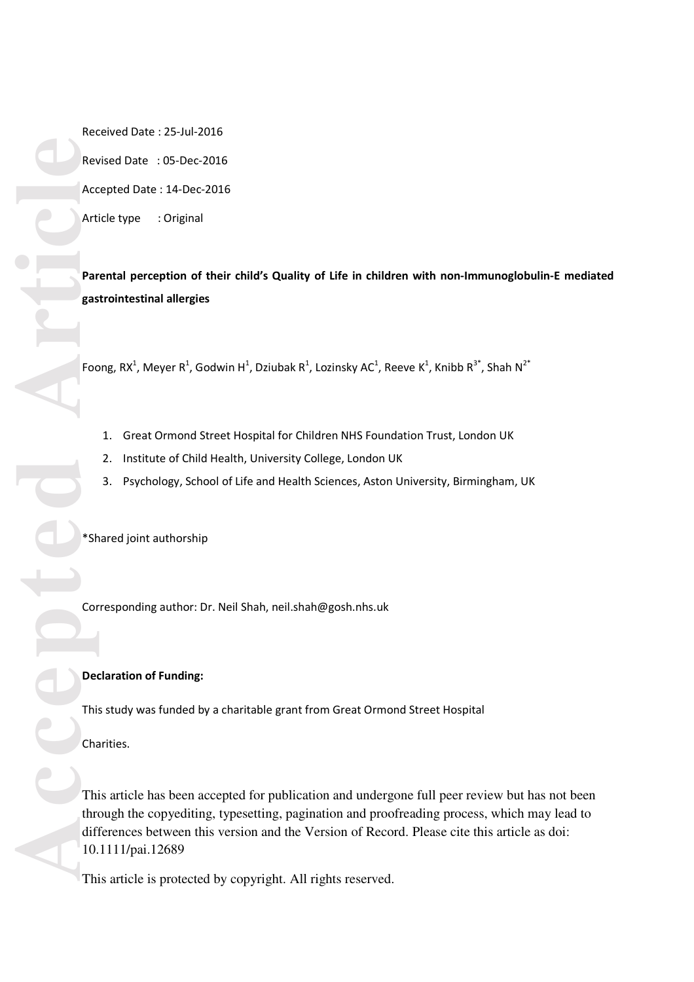Received Date : 25-Jul-2016 Revised Date : 05-Dec-2016 Accepted Date : 14-Dec-2016

**Parental perception of their child's Quality of Life in children with non-Immunoglobulin-E mediated gastrointestinal allergies** 

Foong, RX<sup>1</sup>, Meyer R<sup>1</sup>, Godwin H<sup>1</sup>, Dziubak R<sup>1</sup>, Lozinsky AC<sup>1</sup>, Reeve K<sup>1</sup>, Knibb R<sup>3\*</sup>, Shah N<sup>2\*</sup>

- 1. Great Ormond Street Hospital for Children NHS Foundation Trust, London UK
- 2. Institute of Child Health, University College, London UK
- 3. Psychology, School of Life and Health Sciences, Aston University, Birmingham, UK

\*Shared joint authorship

Corresponding author: Dr. Neil Shah, neil.shah@gosh.nhs.uk

**Declaration of Funding:** 

This study was funded by a charitable grant from Great Ormond Street Hospital

Charities.

This article has been accepted for publication and undergone full peer review but has not been through the copyediting, typesetting, pagination and proofreading process, which may lead to differences between this version and the Version of Record. Please cite this article as doi: 10.1111/pai.12689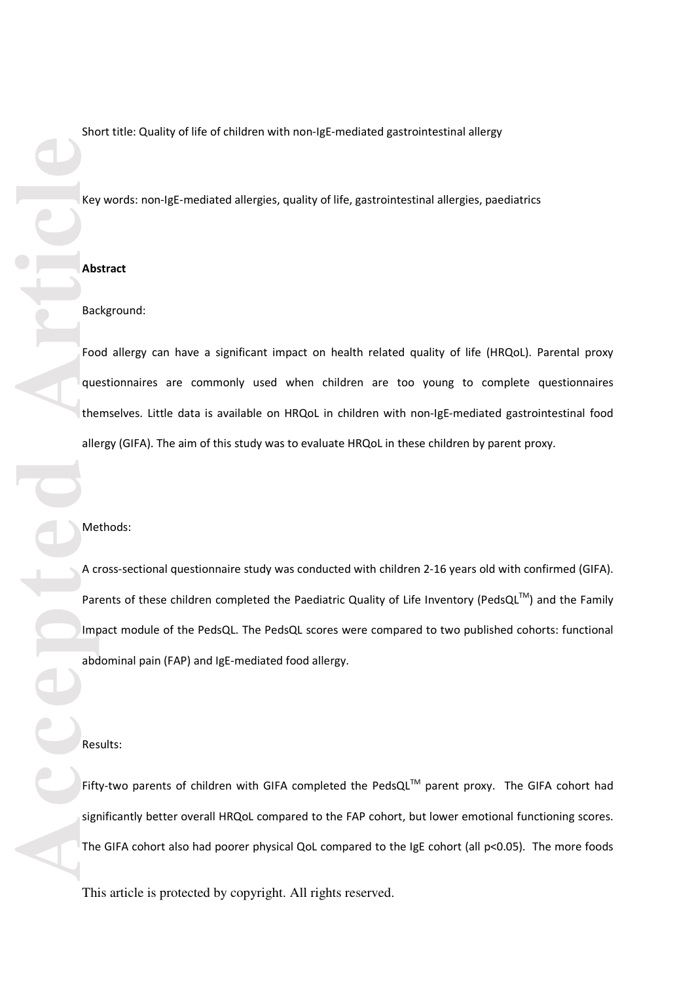Short title: Quality of life of children with non-IgE-mediated gastrointestinal allergy

Key words: non-IgE-mediated allergies, quality of life, gastrointestinal allergies, paediatrics

# **Abstract**

# Background:

Food allergy can have a significant impact on health related quality of life (HRQoL). Parental proxy questionnaires are commonly used when children are too young to complete questionnaires themselves. Little data is available on HRQoL in children with non-IgE-mediated gastrointestinal food allergy (GIFA). The aim of this study was to evaluate HRQoL in these children by parent proxy.

## Methods:

A cross-sectional questionnaire study was conducted with children 2-16 years old with confirmed (GIFA). Parents of these children completed the Paediatric Quality of Life Inventory (PedsQL™) and the Family Impact module of the PedsQL. The PedsQL scores were compared to two published cohorts: functional abdominal pain (FAP) and IgE-mediated food allergy.

#### Results:

Fifty-two parents of children with GIFA completed the PedsQL™ parent proxy. The GIFA cohort had significantly better overall HRQoL compared to the FAP cohort, but lower emotional functioning scores. The GIFA cohort also had poorer physical QoL compared to the IgE cohort (all p<0.05). The more foods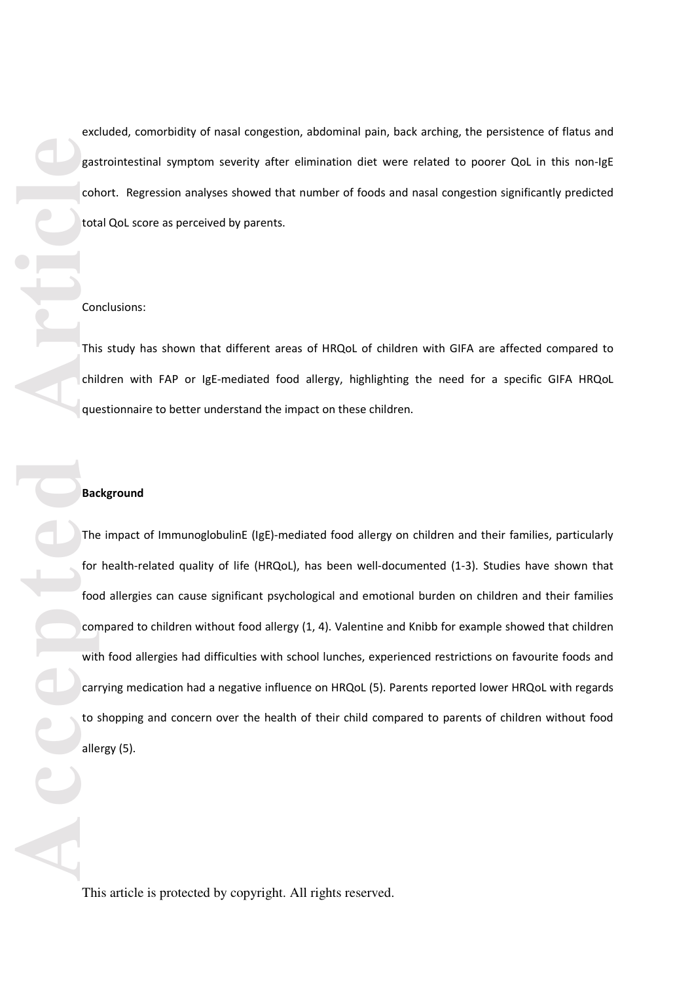excluded, comorbidity of nasal congestion, abdominal pain, back arching, the persistence of flatus and gastrointestinal symptom severity after elimination diet were related to poorer QoL in this non-IgE cohort. Regression analyses showed that number of foods and nasal congestion significantly predicted total QoL score as perceived by parents.

### Conclusions:

This study has shown that different areas of HRQoL of children with GIFA are affected compared to children with FAP or IgE-mediated food allergy, highlighting the need for a specific GIFA HRQoL questionnaire to better understand the impact on these children.

### **Background**

**Example 18 as cohenant** control to the control of the control of the control of the control of the control of the control of the control of the control of the control of the control of the control of the control of the co The impact of ImmunoglobulinE (IgE)-mediated food allergy on children and their families, particularly for health-related quality of life (HRQoL), has been well-documented (1-3). Studies have shown that food allergies can cause significant psychological and emotional burden on children and their families compared to children without food allergy (1, 4). Valentine and Knibb for example showed that children with food allergies had difficulties with school lunches, experienced restrictions on favourite foods and carrying medication had a negative influence on HRQoL (5). Parents reported lower HRQoL with regards to shopping and concern over the health of their child compared to parents of children without food allergy (5).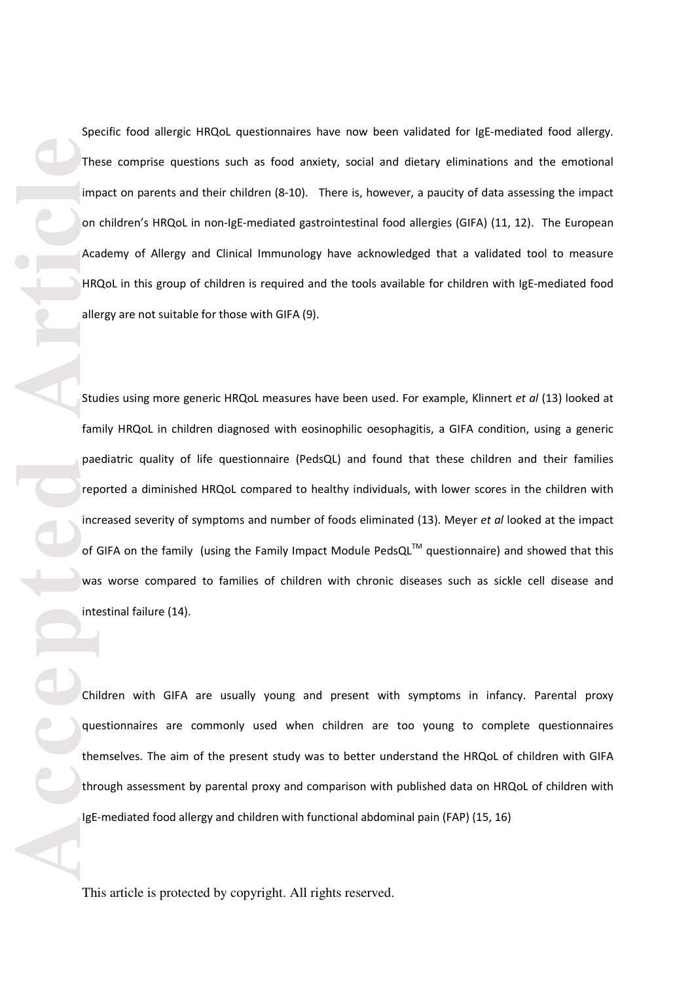Specific food allergic HRQoL questionnaires have now been validated for IgE-mediated food allergy. These comprise questions such as food anxiety, social and dietary eliminations and the emotional impact on parents and their children (8-10). There is, however, a paucity of data assessing the impact on children's HRQoL in non-IgE-mediated gastrointestinal food allergies (GIFA) (11, 12). The European Academy of Allergy and Clinical Immunology have acknowledged that a validated tool to measure HRQoL in this group of children is required and the tools available for children with IgE-mediated food allergy are not suitable for those with GIFA (9).

The impute of Accepted **Accepted Accepted Accepted Accepted Accepted Article**<br>
Studented by the included the three particles in the state of the particle in the light-Studies using more generic HRQoL measures have been used. For example, Klinnert *et al* (13) looked at family HRQoL in children diagnosed with eosinophilic oesophagitis, a GIFA condition, using a generic paediatric quality of life questionnaire (PedsQL) and found that these children and their families reported a diminished HRQoL compared to healthy individuals, with lower scores in the children with increased severity of symptoms and number of foods eliminated (13). Meyer *et al* looked at the impact of GIFA on the family (using the Family Impact Module PedsQL<sup>TM</sup> questionnaire) and showed that this was worse compared to families of children with chronic diseases such as sickle cell disease and intestinal failure (14).

Children with GIFA are usually young and present with symptoms in infancy. Parental proxy questionnaires are commonly used when children are too young to complete questionnaires themselves. The aim of the present study was to better understand the HRQoL of children with GIFA through assessment by parental proxy and comparison with published data on HRQoL of children with IgE-mediated food allergy and children with functional abdominal pain (FAP) (15, 16)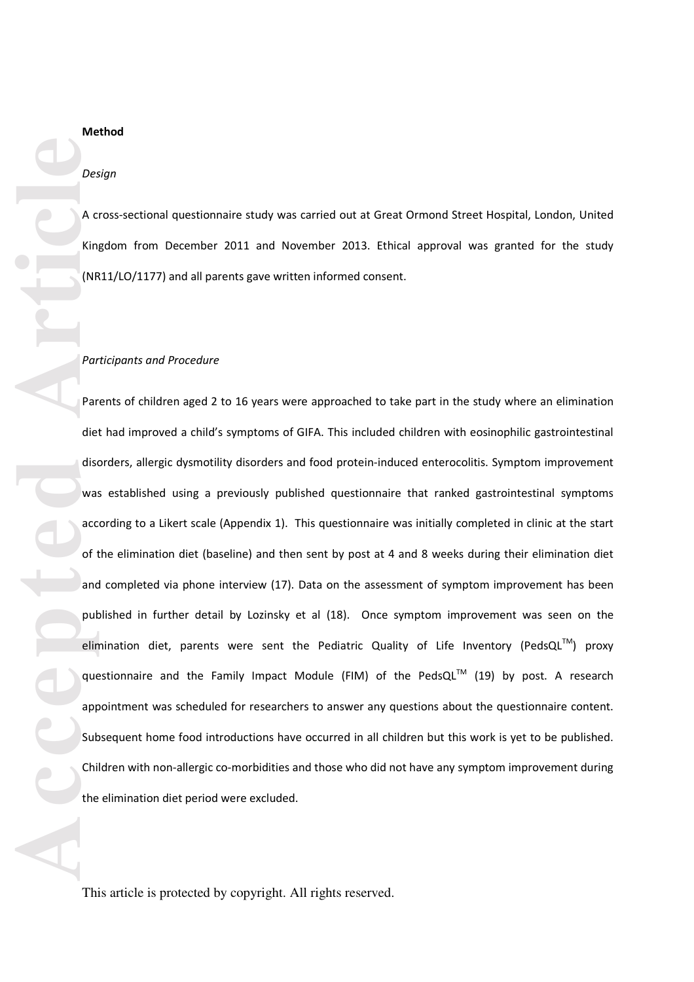*Design* 

A cross-sectional questionnaire study was carried out at Great Ormond Street Hospital, London, United Kingdom from December 2011 and November 2013. Ethical approval was granted for the study (NR11/LO/1177) and all parents gave written informed consent.

#### *Participants and Procedure*

**Accepted Accepted Article**<br> **Accepted Accepted Article**<br> **Particle**<br> **Particle**<br> **Particle**<br> **Particle**<br> **Particle**<br> **Particle**<br> **Particle**<br> **Particle**<br> **Particle**<br> **Particle**<br> **Particle**<br> **Particle**<br> **Particle** Parents of children aged 2 to 16 years were approached to take part in the study where an elimination diet had improved a child's symptoms of GIFA. This included children with eosinophilic gastrointestinal disorders, allergic dysmotility disorders and food protein-induced enterocolitis. Symptom improvement was established using a previously published questionnaire that ranked gastrointestinal symptoms according to a Likert scale (Appendix 1). This questionnaire was initially completed in clinic at the start of the elimination diet (baseline) and then sent by post at 4 and 8 weeks during their elimination diet and completed via phone interview (17). Data on the assessment of symptom improvement has been published in further detail by Lozinsky et al (18). Once symptom improvement was seen on the elimination diet, parents were sent the Pediatric Quality of Life Inventory (PedsQL<sup>TM</sup>) proxy questionnaire and the Family Impact Module (FIM) of the PedsQL™ (19) by post. A research appointment was scheduled for researchers to answer any questions about the questionnaire content. Subsequent home food introductions have occurred in all children but this work is yet to be published. Children with non-allergic co-morbidities and those who did not have any symptom improvement during the elimination diet period were excluded.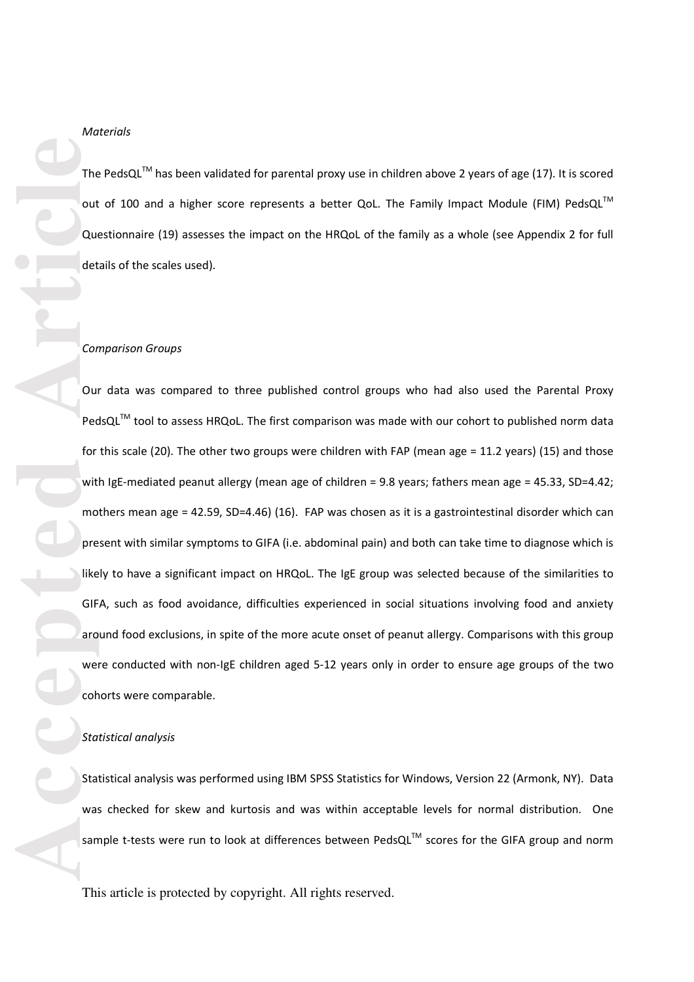#### *Materials*

The PedsQL™ has been validated for parental proxy use in children above 2 years of age (17). It is scored out of 100 and a higher score represents a better QoL. The Family Impact Module (FIM) PedsQL™ Questionnaire (19) assesses the impact on the HRQoL of the family as a whole (see Appendix 2 for full details of the scales used).

#### *Comparison Groups*

Our data was compared to three published control groups who had also used the Parental Proxy PedsQL™ tool to assess HRQoL. The first comparison was made with our cohort to published norm data for this scale (20). The other two groups were children with FAP (mean age = 11.2 years) (15) and those with IgE-mediated peanut allergy (mean age of children = 9.8 years; fathers mean age = 45.33, SD=4.42; mothers mean age = 42.59, SD=4.46) (16). FAP was chosen as it is a gastrointestinal disorder which can present with similar symptoms to GIFA (i.e. abdominal pain) and both can take time to diagnose which is likely to have a significant impact on HRQoL. The IgE group was selected because of the similarities to GIFA, such as food avoidance, difficulties experienced in social situations involving food and anxiety around food exclusions, in spite of the more acute onset of peanut allergy. Comparisons with this group were conducted with non-IgE children aged 5-12 years only in order to ensure age groups of the two cohorts were comparable.

# *Statistical analysis*

Statistical analysis was performed using IBM SPSS Statistics for Windows, Version 22 (Armonk, NY). Data was checked for skew and kurtosis and was within acceptable levels for normal distribution. One sample t-tests were run to look at differences between PedsQL™ scores for the GIFA group and norm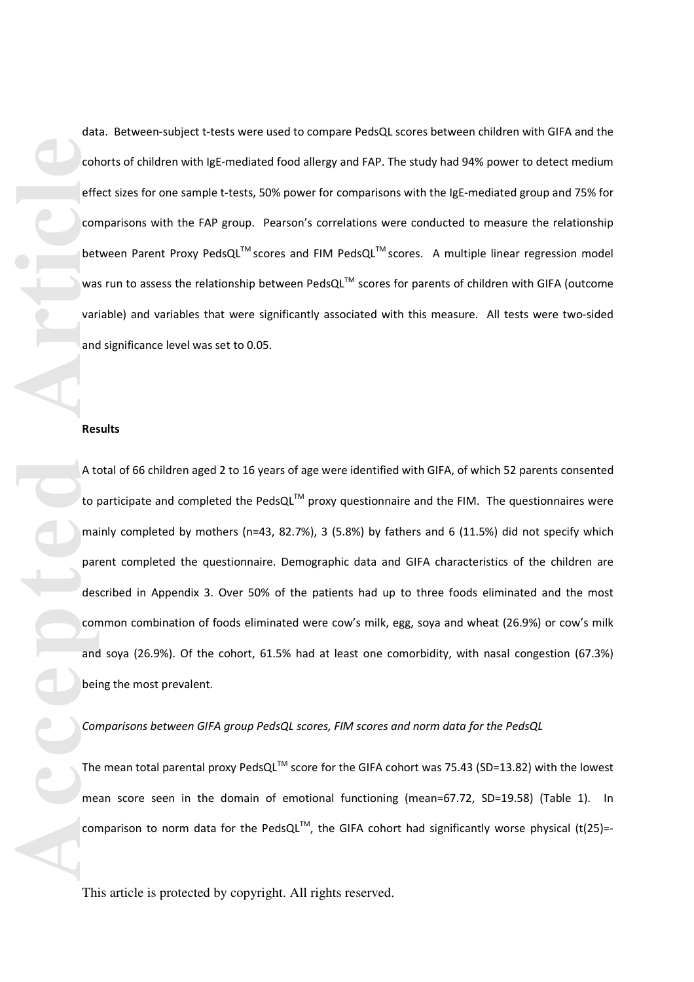data. Between-subject t-tests were used to compare PedsQL scores between children with GIFA and the cohorts of children with IgE-mediated food allergy and FAP. The study had 94% power to detect medium effect sizes for one sample t-tests, 50% power for comparisons with the IgE-mediated group and 75% for comparisons with the FAP group. Pearson's correlations were conducted to measure the relationship between Parent Proxy PedsQL™ scores and FIM PedsQL™ scores. A multiple linear regression model was run to assess the relationship between PedsQL™ scores for parents of children with GIFA (outcome variable) and variables that were significantly associated with this measure. All tests were two-sided and significance level was set to 0.05.

## **Results**

A total of 66 children aged 2 to 16 years of age were identified with GIFA, of which 52 parents consented to participate and completed the PedsQL<sup>TM</sup> proxy questionnaire and the FIM. The questionnaires were mainly completed by mothers (n=43, 82.7%), 3 (5.8%) by fathers and 6 (11.5%) did not specify which parent completed the questionnaire. Demographic data and GIFA characteristics of the children are described in Appendix 3. Over 50% of the patients had up to three foods eliminated and the most common combination of foods eliminated were cow's milk, egg, soya and wheat (26.9%) or cow's milk and soya (26.9%). Of the cohort, 61.5% had at least one comorbidity, with nasal congestion (67.3%) being the most prevalent.

*Comparisons between GIFA group PedsQL scores, FIM scores and norm data for the PedsQL* 

The mean total parental proxy PedsQL™ score for the GIFA cohort was 75.43 (SD=13.82) with the lowest mean score seen in the domain of emotional functioning (mean=67.72, SD=19.58) (Table 1). In comparison to norm data for the PedsQL<sup>TM</sup>, the GIFA cohort had significantly worse physical (t(25)=-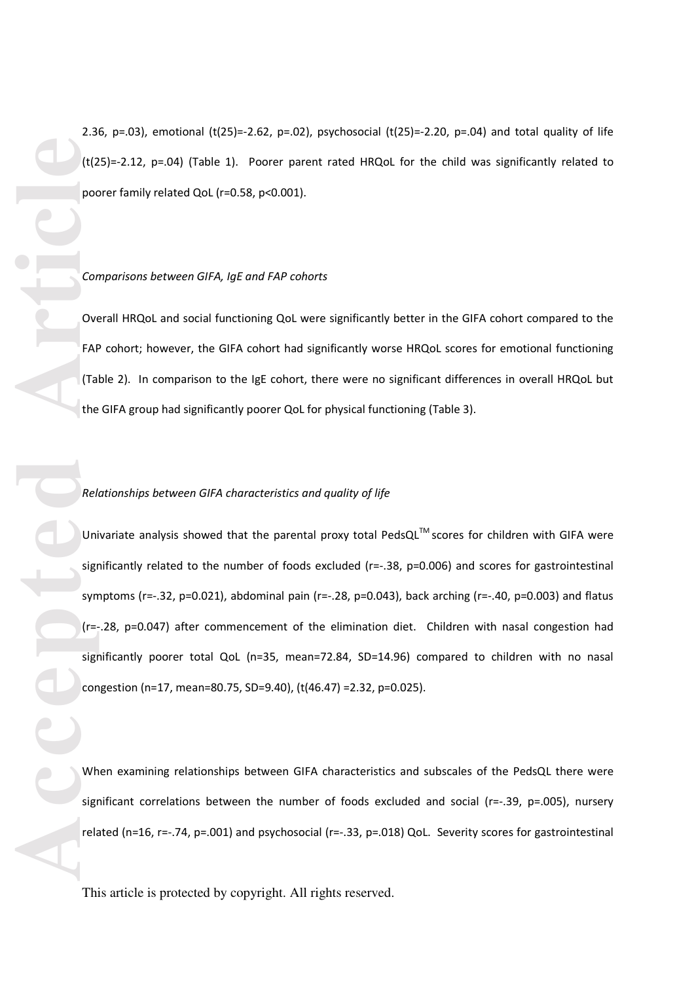**Accepted Article**<br> **Article**<br> **Article**<br> **Article**<br> **Article**<br> **Article**<br> **Article**<br> **Article**<br> **Article**<br> **Article**<br> **Article**<br> **Article**<br> **Article**<br> **Article**<br> **Article**<br> **Article**<br> **Article**<br> **Article**<br> **Article** When examining relationships between GIFA characteristics and subscales of the PedsQL there were

2.36, p=.03), emotional (t(25)=-2.62, p=.02), psychosocial (t(25)=-2.20, p=.04) and total quality of life  $(t(25)=-2.12, p=.04)$  (Table 1). Poorer parent rated HRQoL for the child was significantly related to poorer family related QoL (r=0.58, p<0.001).

#### *Comparisons between GIFA, IgE and FAP cohorts*

Overall HRQoL and social functioning QoL were significantly better in the GIFA cohort compared to the FAP cohort; however, the GIFA cohort had significantly worse HRQoL scores for emotional functioning (Table 2). In comparison to the IgE cohort, there were no significant differences in overall HRQoL but the GIFA group had significantly poorer QoL for physical functioning (Table 3).

# *Relationships between GIFA characteristics and quality of life*

Univariate analysis showed that the parental proxy total PedsQL™ scores for children with GIFA were significantly related to the number of foods excluded (r=-.38, p=0.006) and scores for gastrointestinal symptoms (r=-.32, p=0.021), abdominal pain (r=-.28, p=0.043), back arching (r=-.40, p=0.003) and flatus (r=-.28, p=0.047) after commencement of the elimination diet. Children with nasal congestion had significantly poorer total QoL (n=35, mean=72.84, SD=14.96) compared to children with no nasal congestion (n=17, mean=80.75, SD=9.40), (t(46.47) =2.32, p=0.025).

significant correlations between the number of foods excluded and social (r=-.39, p=.005), nursery related (n=16, r=-.74, p=.001) and psychosocial (r=-.33, p=.018) QoL. Severity scores for gastrointestinal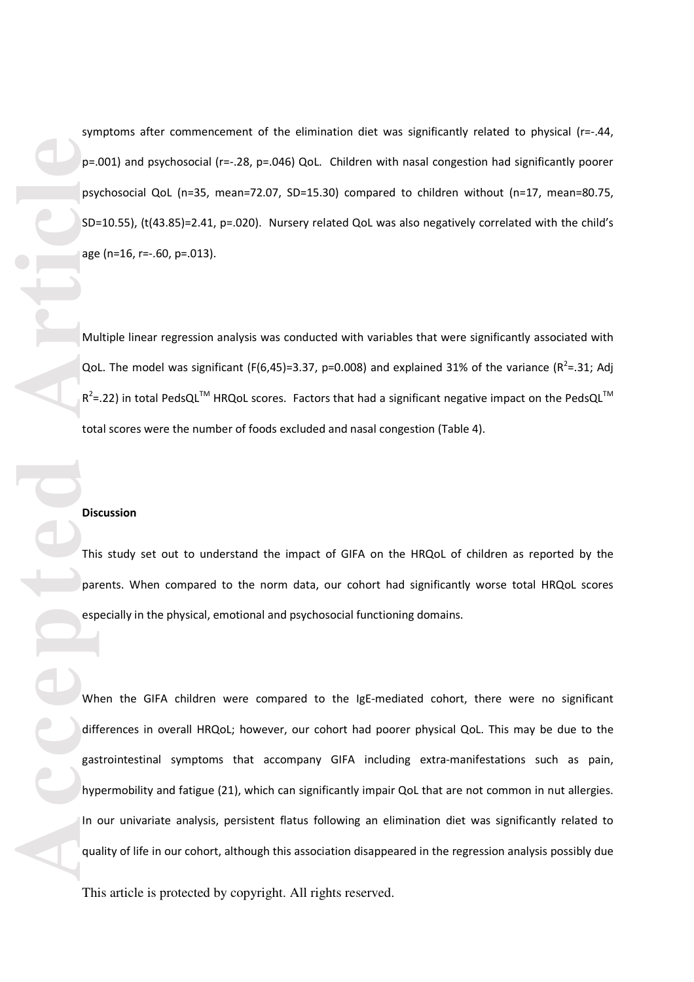symptoms after commencement of the elimination diet was significantly related to physical (r=-.44, p=.001) and psychosocial (r=-.28, p=.046) QoL. Children with nasal congestion had significantly poorer psychosocial QoL (n=35, mean=72.07, SD=15.30) compared to children without (n=17, mean=80.75, SD=10.55), (t(43.85)=2.41, p=.020). Nursery related QoL was also negatively correlated with the child's age (n=16, r=-.60, p=.013).

Multiple linear regression analysis was conducted with variables that were significantly associated with QoL. The model was significant (F(6,45)=3.37, p=0.008) and explained 31% of the variance ( $R^2$ =.31; Adj  $R^2$ =.22) in total PedsQL<sup>TM</sup> HRQoL scores. Factors that had a significant negative impact on the PedsQL<sup>TM</sup> total scores were the number of foods excluded and nasal congestion (Table 4).

## **Discussion**

This study set out to understand the impact of GIFA on the HRQoL of children as reported by the parents. When compared to the norm data, our cohort had significantly worse total HRQoL scores especially in the physical, emotional and psychosocial functioning domains.

When the GIFA children were compared to the IgE-mediated cohort, there were no significant differences in overall HRQoL; however, our cohort had poorer physical QoL. This may be due to the gastrointestinal symptoms that accompany GIFA including extra-manifestations such as pain, hypermobility and fatigue (21), which can significantly impair QoL that are not common in nut allergies. In our univariate analysis, persistent flatus following an elimination diet was significantly related to quality of life in our cohort, although this association disappeared in the regression analysis possibly due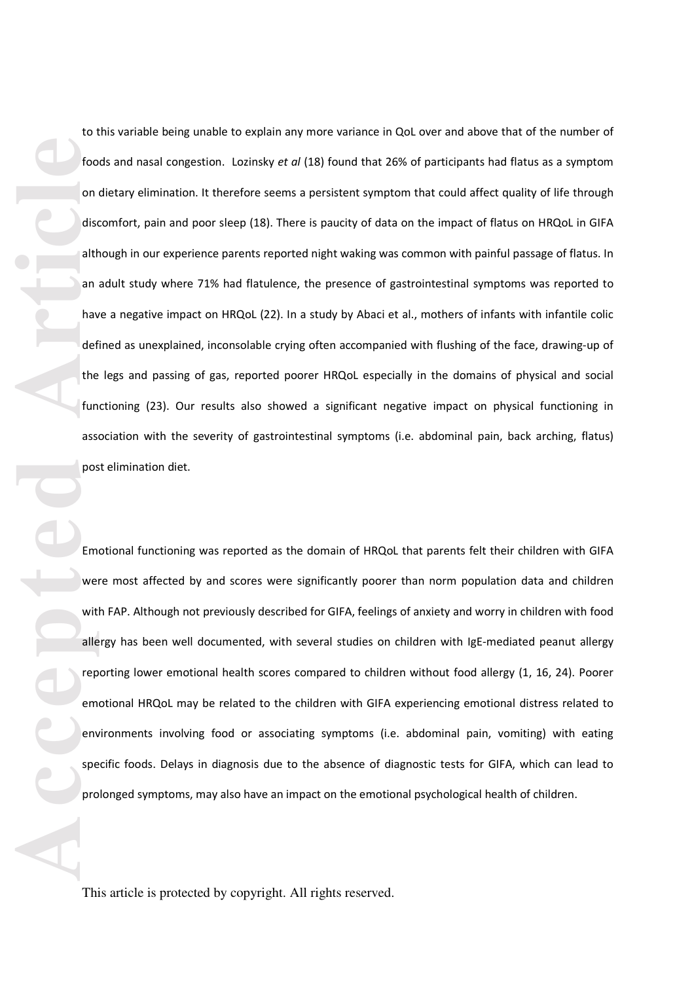**Example 19**<br> **Accepted Article**<br> **Article**<br> **Article**<br> **Article**<br> **Article**<br> **Article**<br> **Article**<br> **Article**<br> **Article**<br> **Article**<br> **Article**<br> **Article**<br> **Article**<br> **Article**<br> **Article**<br> **Article**<br> **Article**<br> **Article**<br> to this variable being unable to explain any more variance in QoL over and above that of the number of foods and nasal congestion. Lozinsky *et al* (18) found that 26% of participants had flatus as a symptom on dietary elimination. It therefore seems a persistent symptom that could affect quality of life through discomfort, pain and poor sleep (18). There is paucity of data on the impact of flatus on HRQoL in GIFA although in our experience parents reported night waking was common with painful passage of flatus. In an adult study where 71% had flatulence, the presence of gastrointestinal symptoms was reported to have a negative impact on HRQoL (22). In a study by Abaci et al., mothers of infants with infantile colic defined as unexplained, inconsolable crying often accompanied with flushing of the face, drawing-up of the legs and passing of gas, reported poorer HRQoL especially in the domains of physical and social functioning (23). Our results also showed a significant negative impact on physical functioning in association with the severity of gastrointestinal symptoms (i.e. abdominal pain, back arching, flatus) post elimination diet.

Emotional functioning was reported as the domain of HRQoL that parents felt their children with GIFA were most affected by and scores were significantly poorer than norm population data and children with FAP. Although not previously described for GIFA, feelings of anxiety and worry in children with food allergy has been well documented, with several studies on children with IgE-mediated peanut allergy reporting lower emotional health scores compared to children without food allergy (1, 16, 24). Poorer emotional HRQoL may be related to the children with GIFA experiencing emotional distress related to environments involving food or associating symptoms (i.e. abdominal pain, vomiting) with eating specific foods. Delays in diagnosis due to the absence of diagnostic tests for GIFA, which can lead to prolonged symptoms, may also have an impact on the emotional psychological health of children.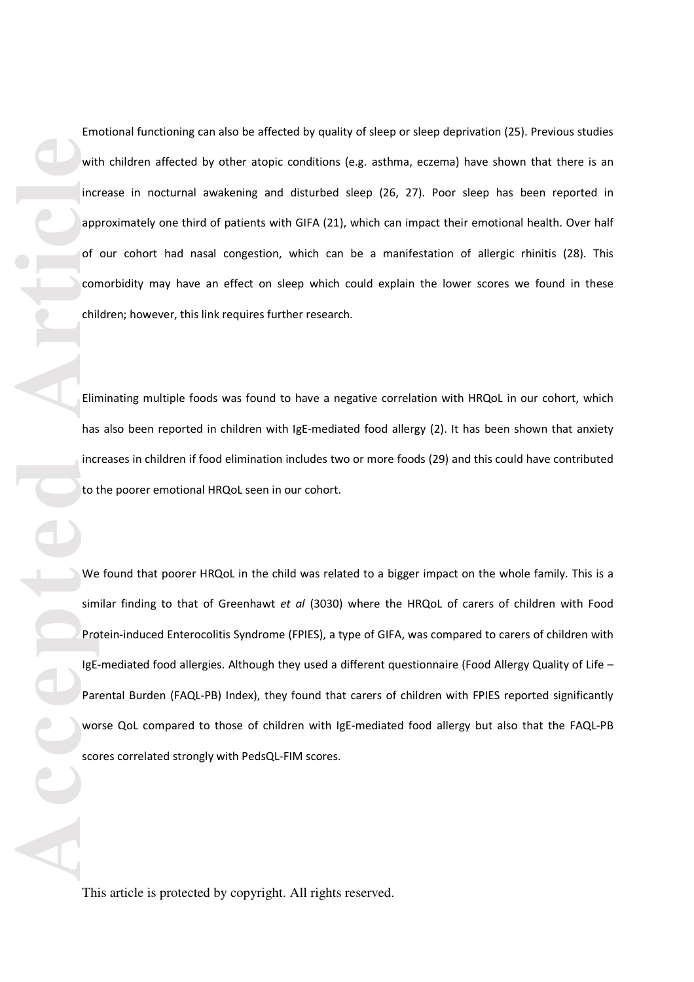Emotional functioning can also be affected by quality of sleep or sleep deprivation (25). Previous studies with children affected by other atopic conditions (e.g. asthma, eczema) have shown that there is an increase in nocturnal awakening and disturbed sleep (26, 27). Poor sleep has been reported in approximately one third of patients with GIFA (21), which can impact their emotional health. Over half of our cohort had nasal congestion, which can be a manifestation of allergic rhinitis (28). This comorbidity may have an effect on sleep which could explain the lower scores we found in these children; however, this link requires further research.

Eliminating multiple foods was found to have a negative correlation with HRQoL in our cohort, which has also been reported in children with IgE-mediated food allergy (2). It has been shown that anxiety increases in children if food elimination includes two or more foods (29) and this could have contributed to the poorer emotional HRQoL seen in our cohort.

**Accepted Article**<br> **Article**<br> **Article**<br> **Article**<br> **Article**<br> **Article**<br> **Article**<br> **Article**<br> **Article**<br> **Article**<br> **Article**<br> **Article**<br> **Article**<br> **Article**<br> **Article**<br> **Article**<br> **Article**<br> **Article**<br> **Article**<br> **A** We found that poorer HRQoL in the child was related to a bigger impact on the whole family. This is a similar finding to that of Greenhawt *et al* (3030) where the HRQoL of carers of children with Food Protein-induced Enterocolitis Syndrome (FPIES), a type of GIFA, was compared to carers of children with IgE-mediated food allergies. Although they used a different questionnaire (Food Allergy Quality of Life -Parental Burden (FAQL-PB) Index), they found that carers of children with FPIES reported significantly worse QoL compared to those of children with IgE-mediated food allergy but also that the FAQL-PB scores correlated strongly with PedsQL-FIM scores.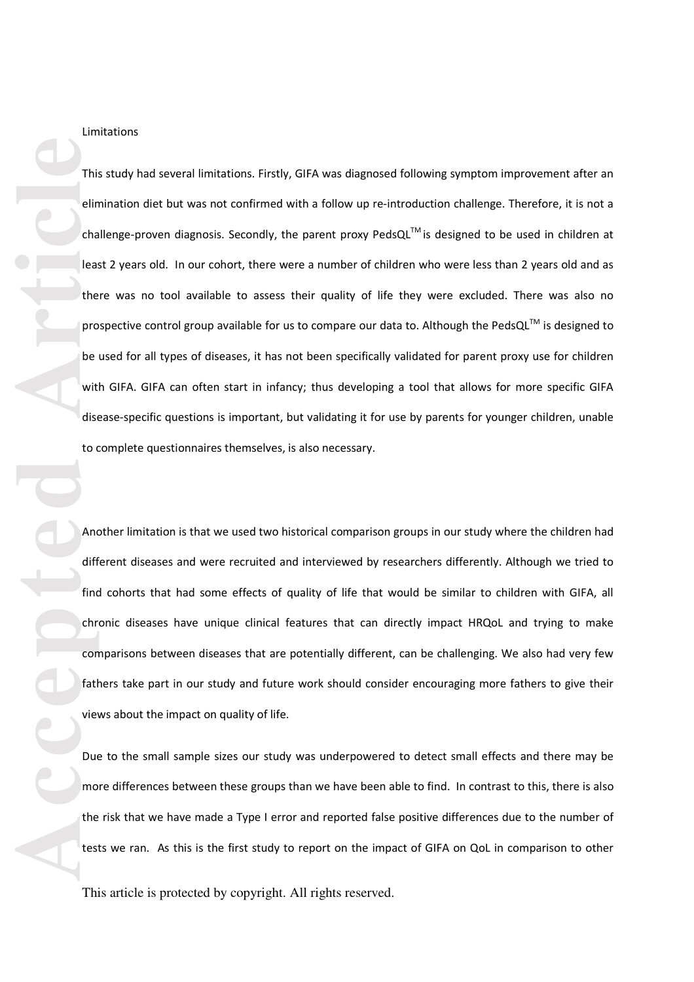Limitations

This study had several limitations. Firstly, GIFA was diagnosed following symptom improvement after an elimination diet but was not confirmed with a follow up re-introduction challenge. Therefore, it is not a challenge-proven diagnosis. Secondly, the parent proxy PedsQL™ is designed to be used in children at least 2 years old. In our cohort, there were a number of children who were less than 2 years old and as there was no tool available to assess their quality of life they were excluded. There was also no prospective control group available for us to compare our data to. Although the PedsQL™ is designed to be used for all types of diseases, it has not been specifically validated for parent proxy use for children with GIFA. GIFA can often start in infancy; thus developing a tool that allows for more specific GIFA disease-specific questions is important, but validating it for use by parents for younger children, unable to complete questionnaires themselves, is also necessary.

Another limitation is that we used two historical comparison groups in our study where the children had different diseases and were recruited and interviewed by researchers differently. Although we tried to find cohorts that had some effects of quality of life that would be similar to children with GIFA, all chronic diseases have unique clinical features that can directly impact HRQoL and trying to make comparisons between diseases that are potentially different, can be challenging. We also had very few fathers take part in our study and future work should consider encouraging more fathers to give their views about the impact on quality of life.

Due to the small sample sizes our study was underpowered to detect small effects and there may be more differences between these groups than we have been able to find. In contrast to this, there is also the risk that we have made a Type I error and reported false positive differences due to the number of tests we ran. As this is the first study to report on the impact of GIFA on QoL in comparison to other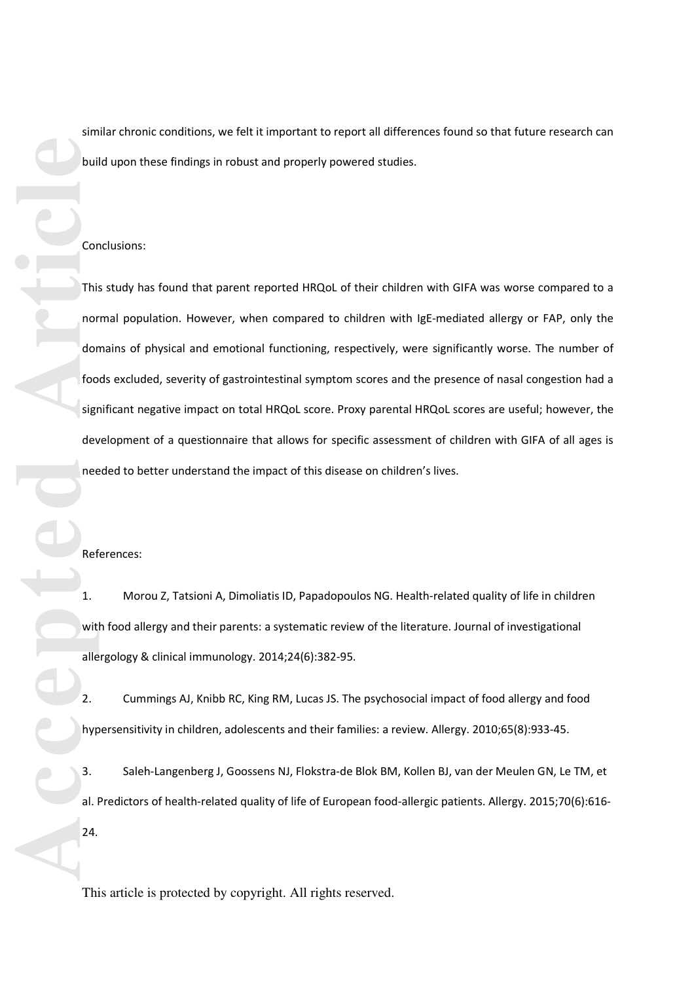similar chronic conditions, we felt it important to report all differences found so that future research can build upon these findings in robust and properly powered studies.

# Conclusions:

This study has found that parent reported HRQoL of their children with GIFA was worse compared to a normal population. However, when compared to children with IgE-mediated allergy or FAP, only the domains of physical and emotional functioning, respectively, were significantly worse. The number of foods excluded, severity of gastrointestinal symptom scores and the presence of nasal congestion had a significant negative impact on total HRQoL score. Proxy parental HRQoL scores are useful; however, the development of a questionnaire that allows for specific assessment of children with GIFA of all ages is needed to better understand the impact of this disease on children's lives.

# References:

1. Morou Z, Tatsioni A, Dimoliatis ID, Papadopoulos NG. Health-related quality of life in children with food allergy and their parents: a systematic review of the literature. Journal of investigational allergology & clinical immunology. 2014;24(6):382-95.

2. Cummings AJ, Knibb RC, King RM, Lucas JS. The psychosocial impact of food allergy and food hypersensitivity in children, adolescents and their families: a review. Allergy. 2010;65(8):933-45.

3. Saleh-Langenberg J, Goossens NJ, Flokstra-de Blok BM, Kollen BJ, van der Meulen GN, Le TM, et al. Predictors of health-related quality of life of European food-allergic patients. Allergy. 2015;70(6):616- 24.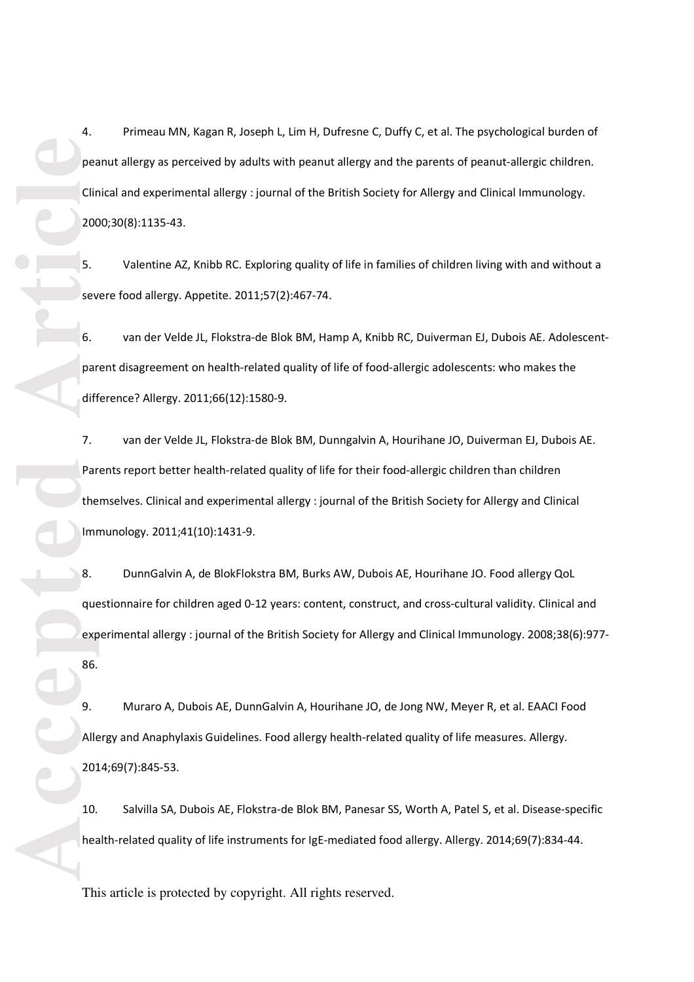4. Primeau MN, Kagan R, Joseph L, Lim H, Dufresne C, Duffy C, et al. The psychological burden of peanut allergy as perceived by adults with peanut allergy and the parents of peanut-allergic children. Clinical and experimental allergy : journal of the British Society for Allergy and Clinical Immunology. 2000;30(8):1135-43.

5. Valentine AZ, Knibb RC. Exploring quality of life in families of children living with and without a severe food allergy. Appetite. 2011;57(2):467-74.

6. van der Velde JL, Flokstra-de Blok BM, Hamp A, Knibb RC, Duiverman EJ, Dubois AE. Adolescentparent disagreement on health-related quality of life of food-allergic adolescents: who makes the difference? Allergy. 2011;66(12):1580-9.

7. van der Velde JL, Flokstra-de Blok BM, Dunngalvin A, Hourihane JO, Duiverman EJ, Dubois AE. Parents report better health-related quality of life for their food-allergic children than children themselves. Clinical and experimental allergy : journal of the British Society for Allergy and Clinical Immunology. 2011;41(10):1431-9.

8. DunnGalvin A, de BlokFlokstra BM, Burks AW, Dubois AE, Hourihane JO. Food allergy QoL questionnaire for children aged 0-12 years: content, construct, and cross-cultural validity. Clinical and experimental allergy : journal of the British Society for Allergy and Clinical Immunology. 2008;38(6):977- 86.

9. Muraro A, Dubois AE, DunnGalvin A, Hourihane JO, de Jong NW, Meyer R, et al. EAACI Food Allergy and Anaphylaxis Guidelines. Food allergy health-related quality of life measures. Allergy. 2014;69(7):845-53.

10. Salvilla SA, Dubois AE, Flokstra-de Blok BM, Panesar SS, Worth A, Patel S, et al. Disease-specific health-related quality of life instruments for IgE-mediated food allergy. Allergy. 2014;69(7):834-44.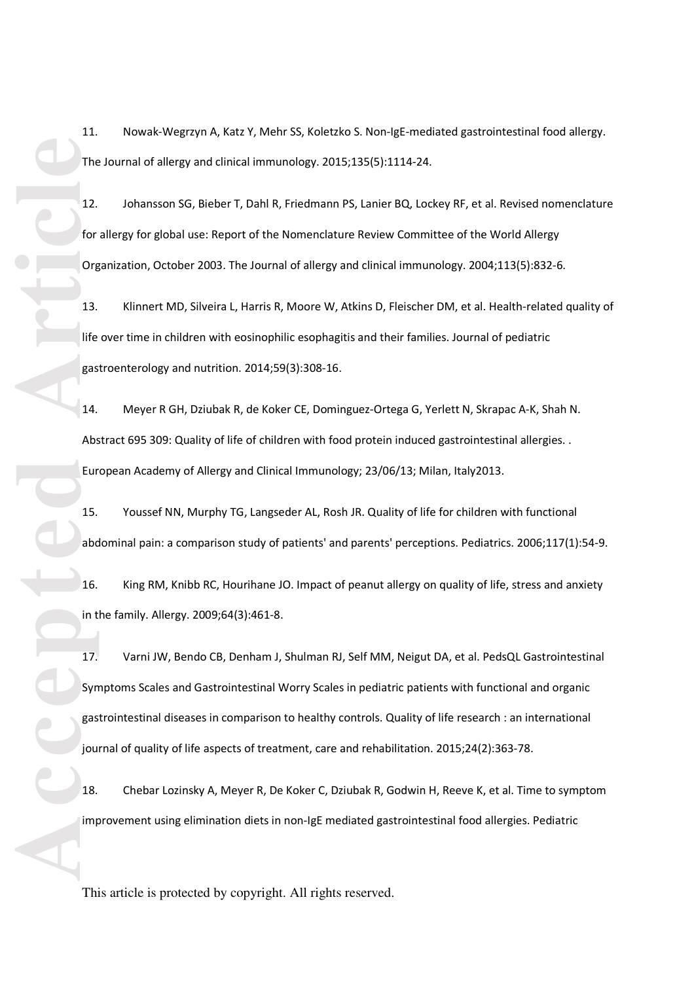11. Nowak-Wegrzyn A, Katz Y, Mehr SS, Koletzko S. Non-IgE-mediated gastrointestinal food allergy. The Journal of allergy and clinical immunology. 2015;135(5):1114-24.

12. Johansson SG, Bieber T, Dahl R, Friedmann PS, Lanier BQ, Lockey RF, et al. Revised nomenclature for allergy for global use: Report of the Nomenclature Review Committee of the World Allergy Organization, October 2003. The Journal of allergy and clinical immunology. 2004;113(5):832-6.

13. Klinnert MD, Silveira L, Harris R, Moore W, Atkins D, Fleischer DM, et al. Health-related quality of life over time in children with eosinophilic esophagitis and their families. Journal of pediatric gastroenterology and nutrition. 2014;59(3):308-16.

14. Meyer R GH, Dziubak R, de Koker CE, Dominguez-Ortega G, Yerlett N, Skrapac A-K, Shah N. Abstract 695 309: Quality of life of children with food protein induced gastrointestinal allergies. . European Academy of Allergy and Clinical Immunology; 23/06/13; Milan, Italy2013.

15. Youssef NN, Murphy TG, Langseder AL, Rosh JR. Quality of life for children with functional abdominal pain: a comparison study of patients' and parents' perceptions. Pediatrics. 2006;117(1):54-9.

16. King RM, Knibb RC, Hourihane JO. Impact of peanut allergy on quality of life, stress and anxiety in the family. Allergy. 2009;64(3):461-8.

17. Varni JW, Bendo CB, Denham J, Shulman RJ, Self MM, Neigut DA, et al. PedsQL Gastrointestinal Symptoms Scales and Gastrointestinal Worry Scales in pediatric patients with functional and organic gastrointestinal diseases in comparison to healthy controls. Quality of life research : an international journal of quality of life aspects of treatment, care and rehabilitation. 2015;24(2):363-78.

18. Chebar Lozinsky A, Meyer R, De Koker C, Dziubak R, Godwin H, Reeve K, et al. Time to symptom improvement using elimination diets in non-IgE mediated gastrointestinal food allergies. Pediatric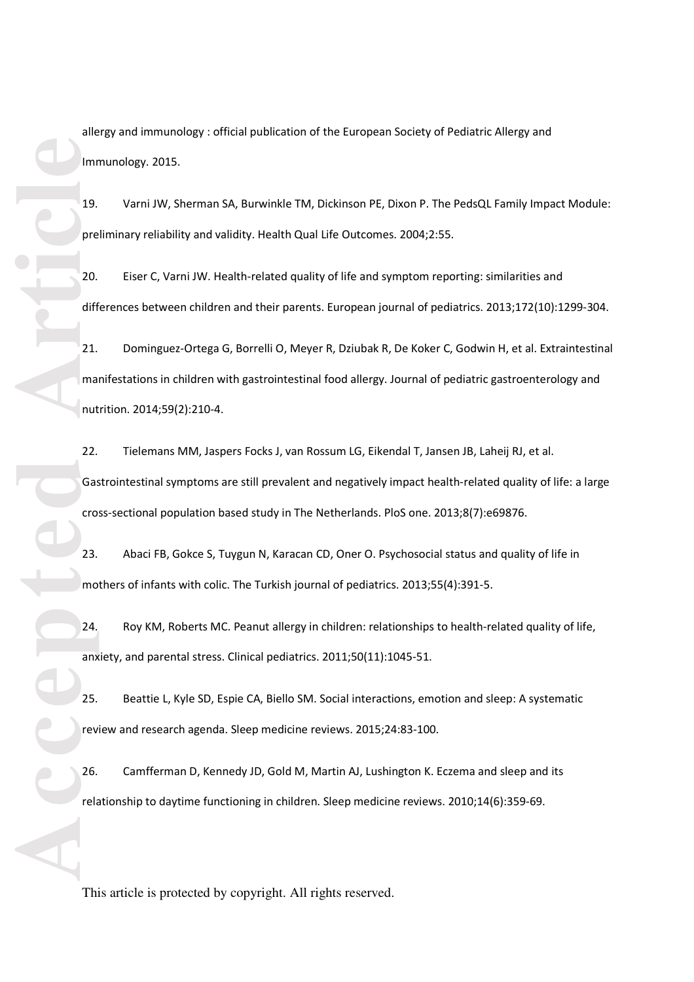allergy and immunology : official publication of the European Society of Pediatric Allergy and Immunology. 2015.

19. Varni JW, Sherman SA, Burwinkle TM, Dickinson PE, Dixon P. The PedsQL Family Impact Module: preliminary reliability and validity. Health Qual Life Outcomes. 2004;2:55.

20. Eiser C, Varni JW. Health-related quality of life and symptom reporting: similarities and differences between children and their parents. European journal of pediatrics. 2013;172(10):1299-304.

21. Dominguez-Ortega G, Borrelli O, Meyer R, Dziubak R, De Koker C, Godwin H, et al. Extraintestinal manifestations in children with gastrointestinal food allergy. Journal of pediatric gastroenterology and nutrition. 2014;59(2):210-4.

22. Tielemans MM, Jaspers Focks J, van Rossum LG, Eikendal T, Jansen JB, Laheij RJ, et al. Gastrointestinal symptoms are still prevalent and negatively impact health-related quality of life: a large cross-sectional population based study in The Netherlands. PloS one. 2013;8(7):e69876.

23. Abaci FB, Gokce S, Tuygun N, Karacan CD, Oner O. Psychosocial status and quality of life in mothers of infants with colic. The Turkish journal of pediatrics. 2013;55(4):391-5.

24. Roy KM, Roberts MC. Peanut allergy in children: relationships to health-related quality of life, anxiety, and parental stress. Clinical pediatrics. 2011;50(11):1045-51.

25. Beattie L, Kyle SD, Espie CA, Biello SM. Social interactions, emotion and sleep: A systematic review and research agenda. Sleep medicine reviews. 2015;24:83-100.

26. Camfferman D, Kennedy JD, Gold M, Martin AJ, Lushington K. Eczema and sleep and its relationship to daytime functioning in children. Sleep medicine reviews. 2010;14(6):359-69.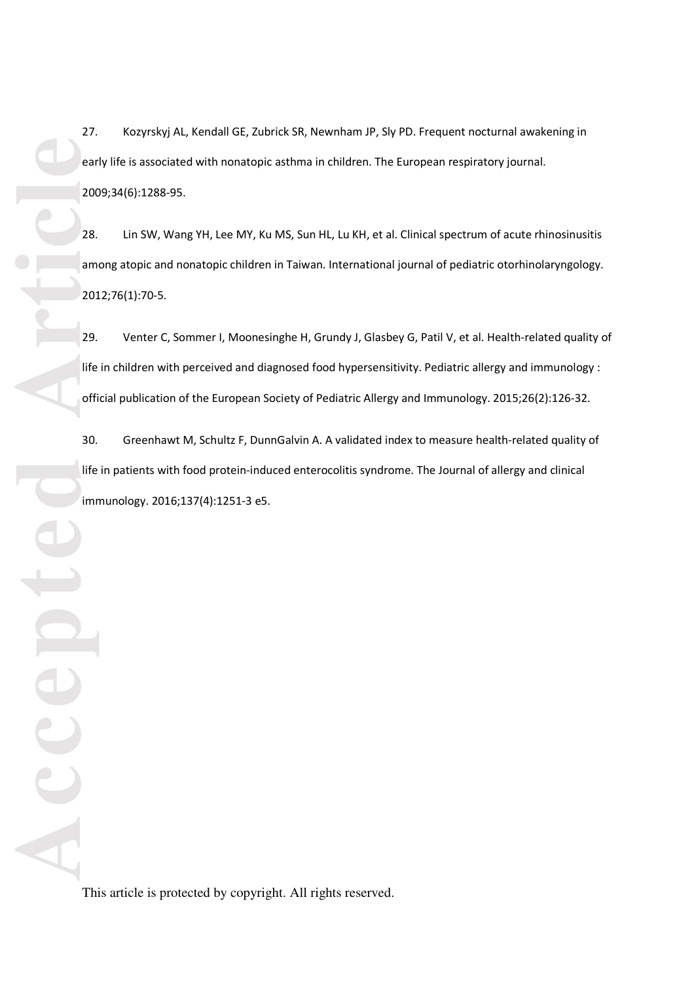27. Kozyrskyj AL, Kendall GE, Zubrick SR, Newnham JP, Sly PD. Frequent nocturnal awakening in early life is associated with nonatopic asthma in children. The European respiratory journal. 2009;34(6):1288-95.

28. Lin SW, Wang YH, Lee MY, Ku MS, Sun HL, Lu KH, et al. Clinical spectrum of acute rhinosinusitis among atopic and nonatopic children in Taiwan. International journal of pediatric otorhinolaryngology. 2012;76(1):70-5.

29. Venter C, Sommer I, Moonesinghe H, Grundy J, Glasbey G, Patil V, et al. Health-related quality of life in children with perceived and diagnosed food hypersensitivity. Pediatric allergy and immunology : official publication of the European Society of Pediatric Allergy and Immunology. 2015;26(2):126-32.

**Accepted Articles and Articles and Articles and Articles and Articles and Articles and Articles and Articles and Articles and Articles and Articles and Articles and Articles and Articles and Articles and Articles and Ar** 30. Greenhawt M, Schultz F, DunnGalvin A. A validated index to measure health-related quality of life in patients with food protein-induced enterocolitis syndrome. The Journal of allergy and clinical immunology. 2016;137(4):1251-3 e5.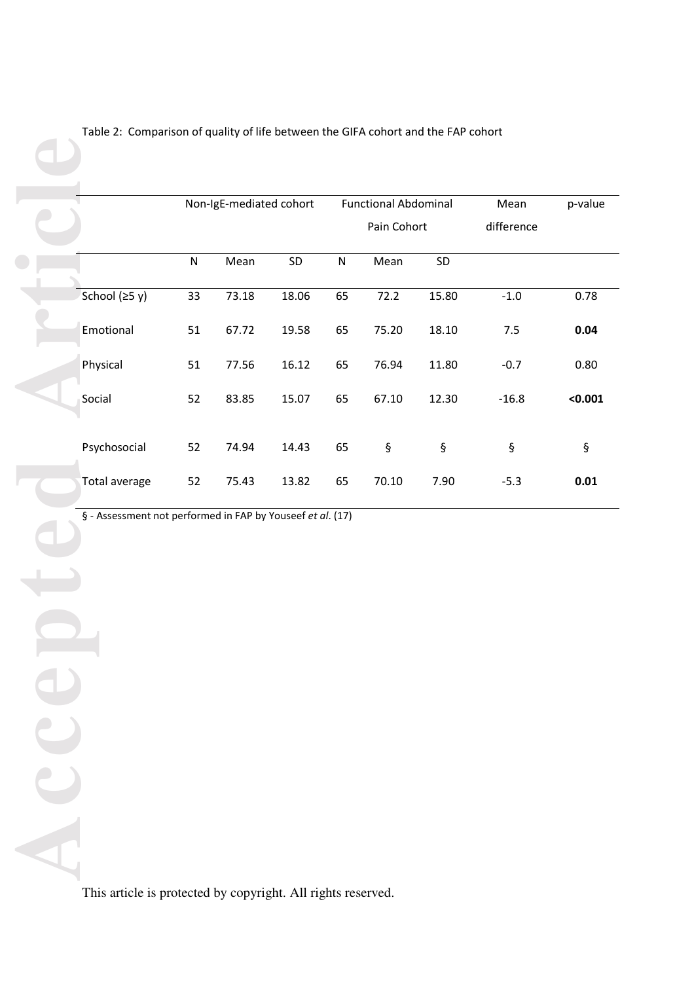|                      | Non-IgE-mediated cohort |       | <b>Functional Abdominal</b><br>Pain Cohort |           |       | Mean<br>difference | p-value |         |
|----------------------|-------------------------|-------|--------------------------------------------|-----------|-------|--------------------|---------|---------|
|                      | ${\sf N}$               | Mean  | $\sf SD$                                   | ${\sf N}$ | Mean  | $\sf SD$           |         |         |
| School ( $\geq$ 5 y) | 33                      | 73.18 | 18.06                                      | 65        | 72.2  | 15.80              | $-1.0$  | 0.78    |
| Emotional            | 51                      | 67.72 | 19.58                                      | 65        | 75.20 | 18.10              | 7.5     | 0.04    |
| Physical             | 51                      | 77.56 | 16.12                                      | 65        | 76.94 | 11.80              | $-0.7$  | 0.80    |
| Social               | 52                      | 83.85 | 15.07                                      | 65        | 67.10 | 12.30              | $-16.8$ | < 0.001 |
| Psychosocial         | 52                      | 74.94 | 14.43                                      | 65        | $\S$  | $\S$               | $\S$    | $\S$    |
| Total average        | 52                      | 75.43 | 13.82                                      | 65        | 70.10 | 7.90               | $-5.3$  | 0.01    |
|                      |                         |       |                                            |           |       |                    |         |         |
| $\mathbf C$          |                         |       |                                            |           |       |                    |         |         |

Table 2: Comparison of quality of life between the GIFA cohort and the FAP cohort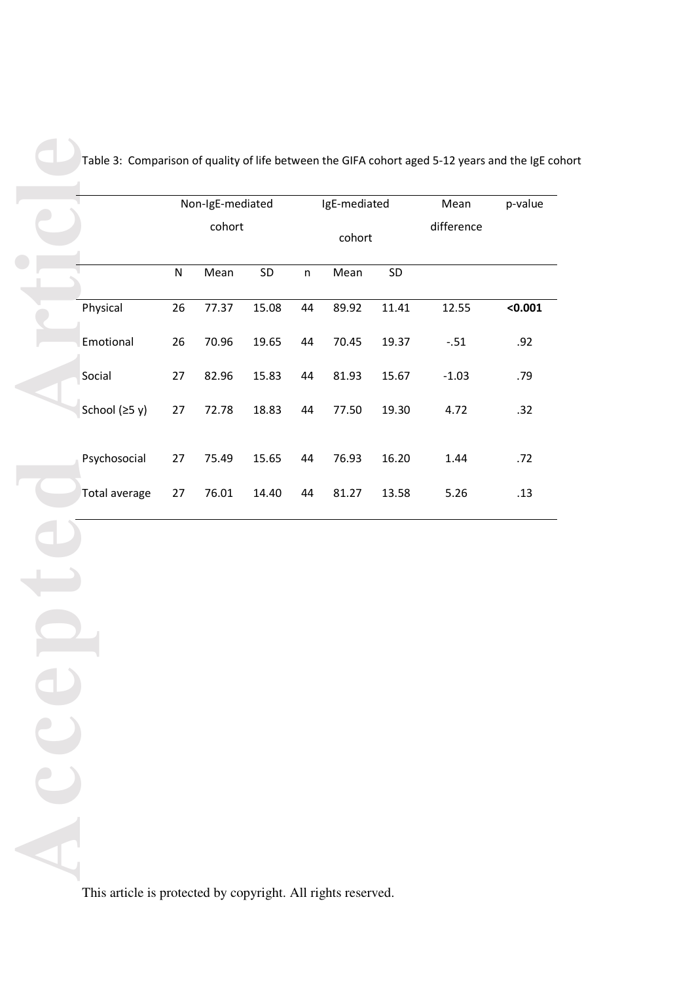|                 |           | Non-IgE-mediated |            |         | IgE-mediated |            | Mean    | p-value |
|-----------------|-----------|------------------|------------|---------|--------------|------------|---------|---------|
|                 | cohort    |                  | cohort     |         |              | difference |         |         |
|                 | ${\sf N}$ | Mean             | ${\sf SD}$ | $\sf n$ | Mean         | $\sf SD$   |         |         |
| Physical        | 26        | 77.37            | 15.08      | 44      | 89.92        | 11.41      | 12.55   | < 0.001 |
| Emotional       | 26        | 70.96            | 19.65      | 44      | 70.45        | 19.37      | $-.51$  | .92     |
| Social          | $27\,$    | 82.96            | 15.83      | 44      | 81.93        | 15.67      | $-1.03$ | .79     |
| School $(≥5 y)$ | 27        | 72.78            | 18.83      | 44      | 77.50        | 19.30      | 4.72    | .32     |
| Psychosocial    | 27        | 75.49            | 15.65      | 44      | 76.93        | 16.20      | 1.44    | .72     |
| Total average   | 27        | 76.01            | 14.40      | 44      | 81.27        | 13.58      | 5.26    | .13     |
|                 |           |                  |            |         |              |            |         |         |
| W               |           |                  |            |         |              |            |         |         |

This article is protected by copyright. All rights reserved.